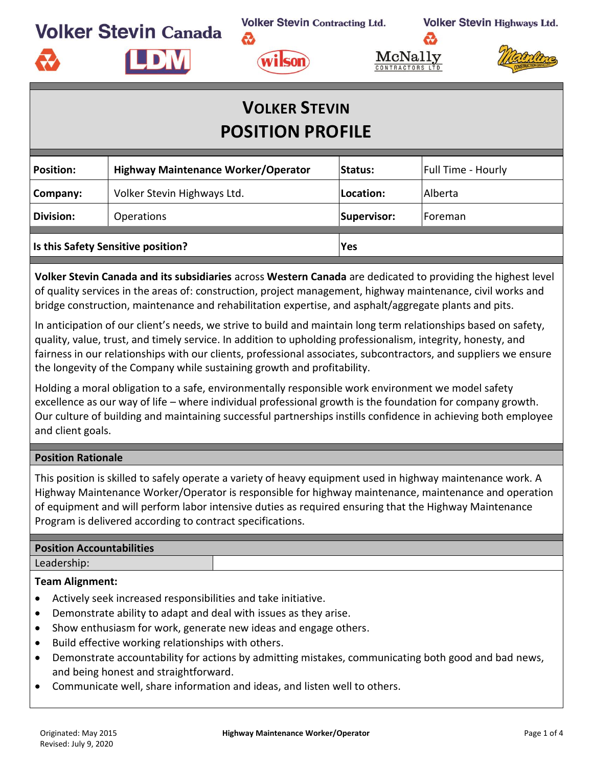**JDW** 

**Volker Stevin Contracting Ltd.** 



 $\operatorname{McNall}$ CONTRACTORS L



# **VOLKER STEVIN POSITION PROFILE**

| <b>Position:</b>                   | <b>Highway Maintenance Worker/Operator</b> | <b>Status:</b> | <b>Full Time - Hourly</b> |  |
|------------------------------------|--------------------------------------------|----------------|---------------------------|--|
| Company:                           | Volker Stevin Highways Ltd.                | Location:      | <b>Alberta</b>            |  |
| <b>Division:</b>                   | <b>Operations</b>                          | Supervisor:    | <b>IForeman</b>           |  |
| Is this Safety Sensitive position? |                                            | <b>Yes</b>     |                           |  |

**Volker Stevin Canada and its subsidiaries** across **Western Canada** are dedicated to providing the highest level of quality services in the areas of: construction, project management, highway maintenance, civil works and bridge construction, maintenance and rehabilitation expertise, and asphalt/aggregate plants and pits.

In anticipation of our client's needs, we strive to build and maintain long term relationships based on safety, quality, value, trust, and timely service. In addition to upholding professionalism, integrity, honesty, and fairness in our relationships with our clients, professional associates, subcontractors, and suppliers we ensure the longevity of the Company while sustaining growth and profitability.

Holding a moral obligation to a safe, environmentally responsible work environment we model safety excellence as our way of life – where individual professional growth is the foundation for company growth. Our culture of building and maintaining successful partnerships instills confidence in achieving both employee and client goals.

#### **Position Rationale**

This position is skilled to safely operate a variety of heavy equipment used in highway maintenance work. A Highway Maintenance Worker/Operator is responsible for highway maintenance, maintenance and operation of equipment and will perform labor intensive duties as required ensuring that the Highway Maintenance Program is delivered according to contract specifications.

#### **Position Accountabilities**

Leadership:

#### **Team Alignment:**

- Actively seek increased responsibilities and take initiative.
- Demonstrate ability to adapt and deal with issues as they arise.
- Show enthusiasm for work, generate new ideas and engage others.
- Build effective working relationships with others.
- Demonstrate accountability for actions by admitting mistakes, communicating both good and bad news, and being honest and straightforward.
- Communicate well, share information and ideas, and listen well to others.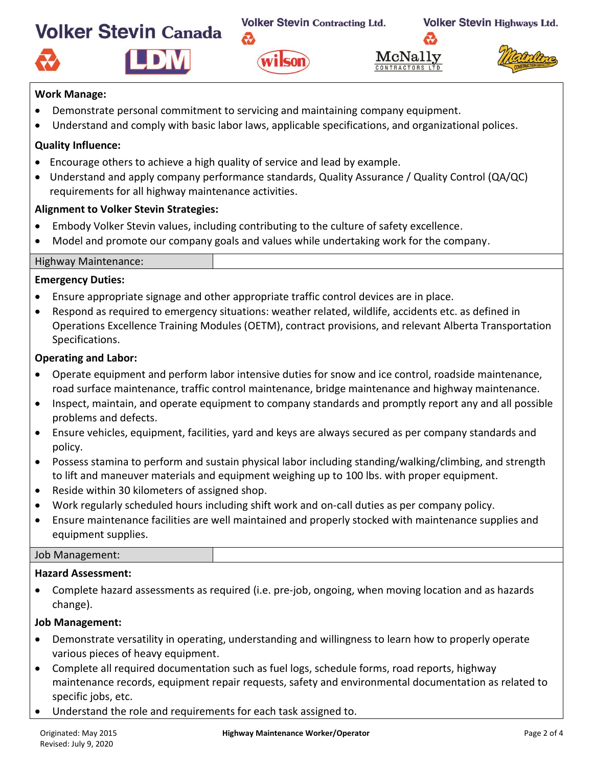IDM

**Volker Stevin Contracting Ltd.** 







#### **Work Manage:**

- Demonstrate personal commitment to servicing and maintaining company equipment.
- Understand and comply with basic labor laws, applicable specifications, and organizational polices.

wilson

### **Quality Influence:**

- Encourage others to achieve a high quality of service and lead by example.
- Understand and apply company performance standards, Quality Assurance / Quality Control (QA/QC) requirements for all highway maintenance activities.

# **Alignment to Volker Stevin Strategies:**

- Embody Volker Stevin values, including contributing to the culture of safety excellence.
- Model and promote our company goals and values while undertaking work for the company.



#### **Emergency Duties:**

- Ensure appropriate signage and other appropriate traffic control devices are in place.
- Respond as required to emergency situations: weather related, wildlife, accidents etc. as defined in Operations Excellence Training Modules (OETM), contract provisions, and relevant Alberta Transportation Specifications.

# **Operating and Labor:**

- Operate equipment and perform labor intensive duties for snow and ice control, roadside maintenance, road surface maintenance, traffic control maintenance, bridge maintenance and highway maintenance.
- Inspect, maintain, and operate equipment to company standards and promptly report any and all possible problems and defects.
- Ensure vehicles, equipment, facilities, yard and keys are always secured as per company standards and policy.
- Possess stamina to perform and sustain physical labor including standing/walking/climbing, and strength to lift and maneuver materials and equipment weighing up to 100 lbs. with proper equipment.
- Reside within 30 kilometers of assigned shop.
- Work regularly scheduled hours including shift work and on-call duties as per company policy.
- Ensure maintenance facilities are well maintained and properly stocked with maintenance supplies and equipment supplies.

#### Job Management:

#### **Hazard Assessment:**

• Complete hazard assessments as required (i.e. pre-job, ongoing, when moving location and as hazards change).

#### **Job Management:**

- Demonstrate versatility in operating, understanding and willingness to learn how to properly operate various pieces of heavy equipment.
- Complete all required documentation such as fuel logs, schedule forms, road reports, highway maintenance records, equipment repair requests, safety and environmental documentation as related to specific jobs, etc.
- Understand the role and requirements for each task assigned to.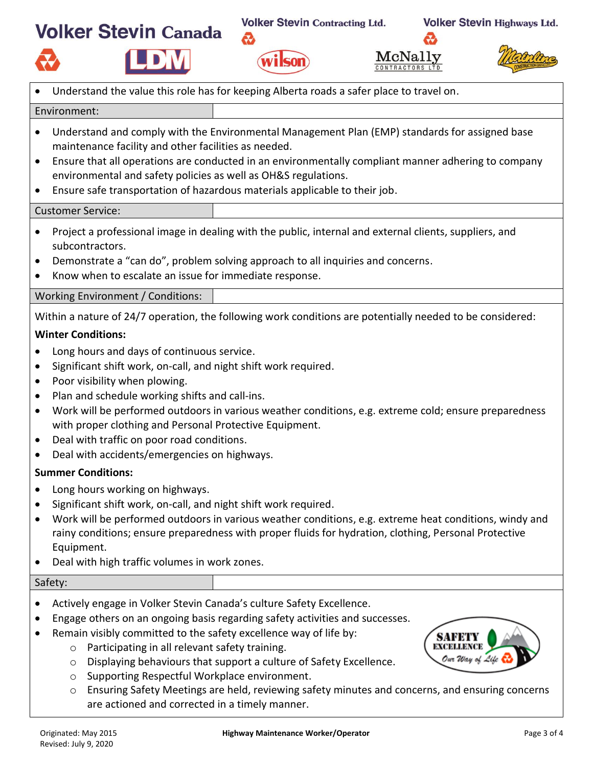**Volker Stevin Contracting Ltd.** 

ゐ







|                                                               | Understand the value this role has for keeping Alberta roads a safer place to travel on.                                                                                                                                                                                                                                                                                                                                                                                                                                                                                                                                                                                                                                                                                                                                                                                                                                                                                                                                          |                                                                                                                                                                       |                 |
|---------------------------------------------------------------|-----------------------------------------------------------------------------------------------------------------------------------------------------------------------------------------------------------------------------------------------------------------------------------------------------------------------------------------------------------------------------------------------------------------------------------------------------------------------------------------------------------------------------------------------------------------------------------------------------------------------------------------------------------------------------------------------------------------------------------------------------------------------------------------------------------------------------------------------------------------------------------------------------------------------------------------------------------------------------------------------------------------------------------|-----------------------------------------------------------------------------------------------------------------------------------------------------------------------|-----------------|
| Environment:                                                  |                                                                                                                                                                                                                                                                                                                                                                                                                                                                                                                                                                                                                                                                                                                                                                                                                                                                                                                                                                                                                                   |                                                                                                                                                                       |                 |
| $\bullet$<br>$\bullet$<br>$\bullet$                           | Understand and comply with the Environmental Management Plan (EMP) standards for assigned base<br>maintenance facility and other facilities as needed.<br>Ensure that all operations are conducted in an environmentally compliant manner adhering to company<br>environmental and safety policies as well as OH&S regulations.<br>Ensure safe transportation of hazardous materials applicable to their job.                                                                                                                                                                                                                                                                                                                                                                                                                                                                                                                                                                                                                     |                                                                                                                                                                       |                 |
|                                                               | <b>Customer Service:</b>                                                                                                                                                                                                                                                                                                                                                                                                                                                                                                                                                                                                                                                                                                                                                                                                                                                                                                                                                                                                          |                                                                                                                                                                       |                 |
|                                                               | Project a professional image in dealing with the public, internal and external clients, suppliers, and<br>subcontractors.<br>Demonstrate a "can do", problem solving approach to all inquiries and concerns.<br>Know when to escalate an issue for immediate response.                                                                                                                                                                                                                                                                                                                                                                                                                                                                                                                                                                                                                                                                                                                                                            |                                                                                                                                                                       |                 |
|                                                               | Working Environment / Conditions:                                                                                                                                                                                                                                                                                                                                                                                                                                                                                                                                                                                                                                                                                                                                                                                                                                                                                                                                                                                                 |                                                                                                                                                                       |                 |
| $\bullet$<br>$\bullet$<br>$\bullet$<br>$\bullet$<br>$\bullet$ | Within a nature of 24/7 operation, the following work conditions are potentially needed to be considered:<br><b>Winter Conditions:</b><br>Long hours and days of continuous service.<br>Significant shift work, on-call, and night shift work required.<br>Poor visibility when plowing.<br>Plan and schedule working shifts and call-ins.<br>Work will be performed outdoors in various weather conditions, e.g. extreme cold; ensure preparedness<br>with proper clothing and Personal Protective Equipment.<br>Deal with traffic on poor road conditions.<br>Deal with accidents/emergencies on highways.<br><b>Summer Conditions:</b><br>Long hours working on highways.<br>Significant shift work, on-call, and night shift work required.<br>Work will be performed outdoors in various weather conditions, e.g. extreme heat conditions, windy and<br>rainy conditions; ensure preparedness with proper fluids for hydration, clothing, Personal Protective<br>Equipment.<br>Deal with high traffic volumes in work zones. |                                                                                                                                                                       |                 |
| Safety:                                                       |                                                                                                                                                                                                                                                                                                                                                                                                                                                                                                                                                                                                                                                                                                                                                                                                                                                                                                                                                                                                                                   |                                                                                                                                                                       |                 |
| O<br>O<br>O<br>$\circ$                                        | Actively engage in Volker Stevin Canada's culture Safety Excellence.<br>Engage others on an ongoing basis regarding safety activities and successes.<br>Remain visibly committed to the safety excellence way of life by:<br>Participating in all relevant safety training.<br>Supporting Respectful Workplace environment.<br>are actioned and corrected in a timely manner.                                                                                                                                                                                                                                                                                                                                                                                                                                                                                                                                                                                                                                                     | Displaying behaviours that support a culture of Safety Excellence.<br>Ensuring Safety Meetings are held, reviewing safety minutes and concerns, and ensuring concerns | Iur Way of Life |